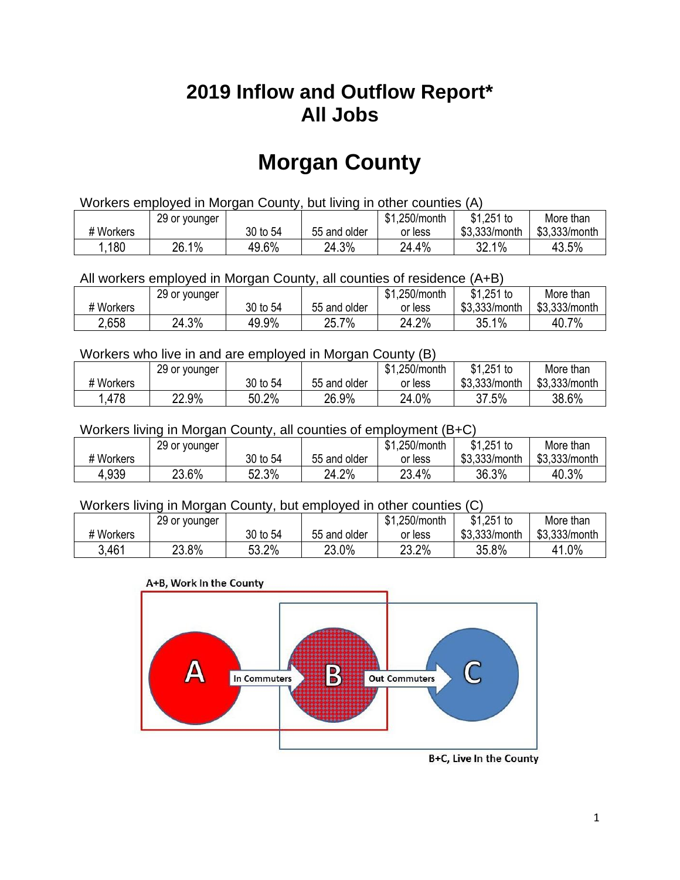## **2019 Inflow and Outflow Report\* All Jobs**

# **Morgan County**

| Workers employed in Morgan County, but living in other counties (A) |       |          |              |         |               |               |  |  |
|---------------------------------------------------------------------|-------|----------|--------------|---------|---------------|---------------|--|--|
| $$1,251$ to<br>\$1.250/month<br>29 or younger<br>More than          |       |          |              |         |               |               |  |  |
| # Workers                                                           |       | 30 to 54 | 55 and older | or less | \$3.333/month | \$3,333/month |  |  |
| 1,180                                                               | 26.1% | 49.6%    | 24.3%        | 24.4%   | 32.1%         | 43.5%         |  |  |

All workers employed in Morgan County, all counties of residence (A+B)

|           | 29 or younger |          |              | \$1,250/month | $$1,251$ to   | More than     |
|-----------|---------------|----------|--------------|---------------|---------------|---------------|
| # Workers |               | 30 to 54 | 55 and older | or less       | \$3,333/month | \$3,333/month |
| 2,658     | 24.3%         | 49.9%    | 25.7%        | 24.2%         | $1\%$<br>35.1 | 40.7%         |

### Workers who live in and are employed in Morgan County (B)

|           | 29 or younger |          |              | \$1,250/month | $$1,251$ to   | More than     |
|-----------|---------------|----------|--------------|---------------|---------------|---------------|
| # Workers |               | 30 to 54 | 55 and older | or less       | \$3,333/month | \$3,333/month |
| .478      | 22.9%         | 50.2%    | 26.9%        | 24.0%         | 37.5%         | 38.6%         |

### Workers living in Morgan County, all counties of employment (B+C)

|           | 29 or younger |          |              | \$1,250/month | \$1,251 to    | More than     |
|-----------|---------------|----------|--------------|---------------|---------------|---------------|
| # Workers |               | 30 to 54 | 55 and older | or less       | \$3,333/month | \$3,333/month |
| 4,939     | 23.6%         | 52.3%    | 24.2%        | 23.4%         | 36.3%         | 40.3%         |

#### Workers living in Morgan County, but employed in other counties (C)

|           | 29 or younger |          |              | .250/month<br>ונה | $$1,251$ to   | More than     |
|-----------|---------------|----------|--------------|-------------------|---------------|---------------|
| # Workers |               | 30 to 54 | 55 and older | or less           | \$3,333/month | \$3,333/month |
| 3.461     | 23.8%         | 53.2%    | 23.0%        | 23.2%             | 35.8%         | 41.0%         |

#### A+B, Work In the County